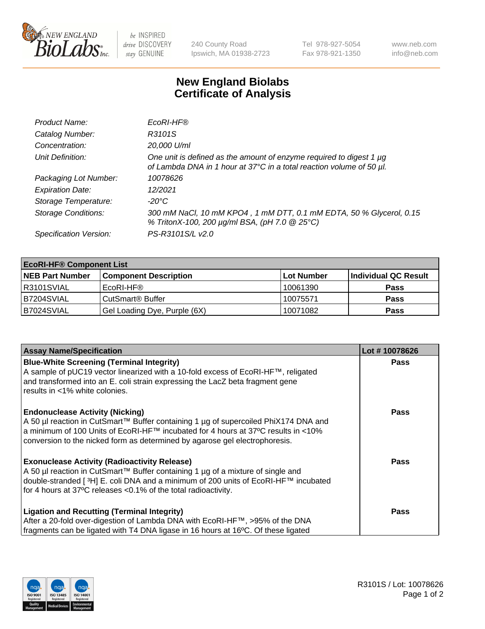

be INSPIRED drive DISCOVERY stay GENUINE

240 County Road Ipswich, MA 01938-2723 Tel 978-927-5054 Fax 978-921-1350 www.neb.com info@neb.com

## **New England Biolabs Certificate of Analysis**

| Product Name:              | EcoRI-HF®                                                                                                                                   |
|----------------------------|---------------------------------------------------------------------------------------------------------------------------------------------|
| Catalog Number:            | R3101S                                                                                                                                      |
| Concentration:             | 20,000 U/ml                                                                                                                                 |
| Unit Definition:           | One unit is defined as the amount of enzyme required to digest 1 µg<br>of Lambda DNA in 1 hour at 37°C in a total reaction volume of 50 µl. |
| Packaging Lot Number:      | 10078626                                                                                                                                    |
| <b>Expiration Date:</b>    | 12/2021                                                                                                                                     |
| Storage Temperature:       | -20°C                                                                                                                                       |
| <b>Storage Conditions:</b> | 300 mM NaCl, 10 mM KPO4, 1 mM DTT, 0.1 mM EDTA, 50 % Glycerol, 0.15<br>% TritonX-100, 200 µg/ml BSA, (pH 7.0 @ 25°C)                        |
| Specification Version:     | PS-R3101S/L v2.0                                                                                                                            |

| <b>EcoRI-HF® Component List</b> |                              |            |                      |  |  |
|---------------------------------|------------------------------|------------|----------------------|--|--|
| <b>NEB Part Number</b>          | <b>Component Description</b> | Lot Number | Individual QC Result |  |  |
| IR3101SVIAL                     | EcoRI-HF®                    | 10061390   | <b>Pass</b>          |  |  |
| IB7204SVIAL                     | CutSmart <sup>®</sup> Buffer | 10075571   | <b>Pass</b>          |  |  |
| B7024SVIAL                      | Gel Loading Dye, Purple (6X) | 10071082   | <b>Pass</b>          |  |  |

| <b>Assay Name/Specification</b>                                                                                                                                           | Lot #10078626 |
|---------------------------------------------------------------------------------------------------------------------------------------------------------------------------|---------------|
| <b>Blue-White Screening (Terminal Integrity)</b>                                                                                                                          | <b>Pass</b>   |
| A sample of pUC19 vector linearized with a 10-fold excess of EcoRI-HF™, religated<br>and transformed into an E. coli strain expressing the LacZ beta fragment gene        |               |
| results in <1% white colonies.                                                                                                                                            |               |
| <b>Endonuclease Activity (Nicking)</b>                                                                                                                                    | <b>Pass</b>   |
| A 50 µl reaction in CutSmart™ Buffer containing 1 µg of supercoiled PhiX174 DNA and<br> a minimum of 100 Units of EcoRI-HF™ incubated for 4 hours at 37°C results in <10% |               |
| conversion to the nicked form as determined by agarose gel electrophoresis.                                                                                               |               |
|                                                                                                                                                                           |               |
| <b>Exonuclease Activity (Radioactivity Release)</b>                                                                                                                       | Pass          |
| A 50 µl reaction in CutSmart™ Buffer containing 1 µg of a mixture of single and                                                                                           |               |
| double-stranded [3H] E. coli DNA and a minimum of 200 units of EcoRI-HF™ incubated                                                                                        |               |
| for 4 hours at 37°C releases < 0.1% of the total radioactivity.                                                                                                           |               |
| <b>Ligation and Recutting (Terminal Integrity)</b>                                                                                                                        | <b>Pass</b>   |
| After a 20-fold over-digestion of Lambda DNA with EcoRI-HF™, >95% of the DNA                                                                                              |               |
| fragments can be ligated with T4 DNA ligase in 16 hours at 16°C. Of these ligated                                                                                         |               |